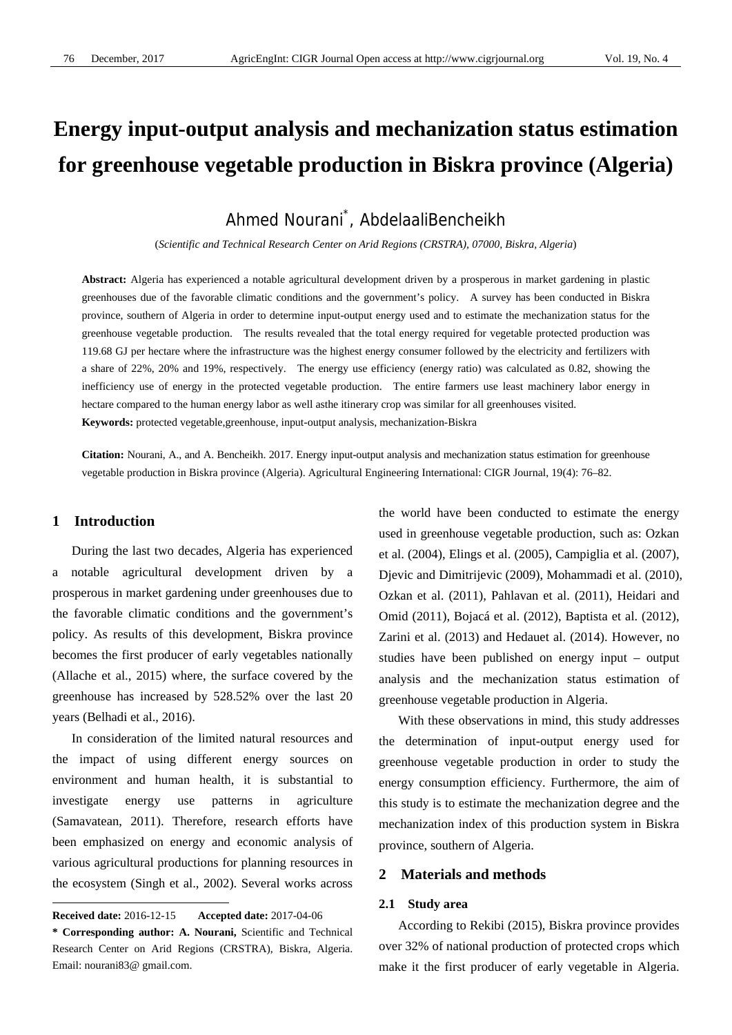# **Energy input-output analysis and mechanization status estimation for greenhouse vegetable production in Biskra province (Algeria)**

Ahmed Nourani\* , AbdelaaliBencheikh

(*Scientific and Technical Research Center on Arid Regions (CRSTRA), 07000, Biskra, Algeria*)

**Abstract:** Algeria has experienced a notable agricultural development driven by a prosperous in market gardening in plastic greenhouses due of the favorable climatic conditions and the government's policy. A survey has been conducted in Biskra province, southern of Algeria in order to determine input-output energy used and to estimate the mechanization status for the greenhouse vegetable production. The results revealed that the total energy required for vegetable protected production was 119.68 GJ per hectare where the infrastructure was the highest energy consumer followed by the electricity and fertilizers with a share of 22%, 20% and 19%, respectively. The energy use efficiency (energy ratio) was calculated as 0.82, showing the inefficiency use of energy in the protected vegetable production. The entire farmers use least machinery labor energy in hectare compared to the human energy labor as well asthe itinerary crop was similar for all greenhouses visited. **Keywords:** protected vegetable,greenhouse, input-output analysis, mechanization-Biskra

**Citation:** Nourani, A., and A. Bencheikh. 2017. Energy input-output analysis and mechanization status estimation for greenhouse vegetable production in Biskra province (Algeria). Agricultural Engineering International: CIGR Journal, 19(4): 76–82.

# **1 Introduction**

 $\overline{a}$ 

During the last two decades, Algeria has experienced a notable agricultural development driven by a prosperous in market gardening under greenhouses due to the favorable climatic conditions and the government's policy. As results of this development, Biskra province becomes the first producer of early vegetables nationally (Allache et al., 2015) where, the surface covered by the greenhouse has increased by 528.52% over the last 20 years (Belhadi et al., 2016).

In consideration of the limited natural resources and the impact of using different energy sources on environment and human health, it is substantial to investigate energy use patterns in agriculture (Samavatean, 2011). Therefore, research efforts have been emphasized on energy and economic analysis of various agricultural productions for planning resources in the ecosystem (Singh et al., 2002). Several works across

the world have been conducted to estimate the energy used in greenhouse vegetable production, such as: Ozkan et al. (2004), Elings et al. (2005), Campiglia et al. (2007), Djevic and Dimitrijevic (2009), Mohammadi et al. (2010), Ozkan et al. (2011), Pahlavan et al. (2011), Heidari and Omid (2011), Bojacá et al. (2012), Baptista et al. (2012), Zarini et al. (2013) and Hedauet al. (2014). However, no studies have been published on energy input – output analysis and the mechanization status estimation of greenhouse vegetable production in Algeria.

With these observations in mind, this study addresses the determination of input-output energy used for greenhouse vegetable production in order to study the energy consumption efficiency. Furthermore, the aim of this study is to estimate the mechanization degree and the mechanization index of this production system in Biskra province, southern of Algeria.

## **2 Materials and methods**

#### **2.1 Study area**

According to Rekibi (2015), Biskra province provides over 32% of national production of protected crops which make it the first producer of early vegetable in Algeria.

**Received date:** 2016-12-15 **Accepted date:** 2017-04-06

**<sup>\*</sup> Corresponding author: A. Nourani,** Scientific and Technical Research Center on Arid Regions (CRSTRA), Biskra, Algeria. Email: nourani83@ gmail.com.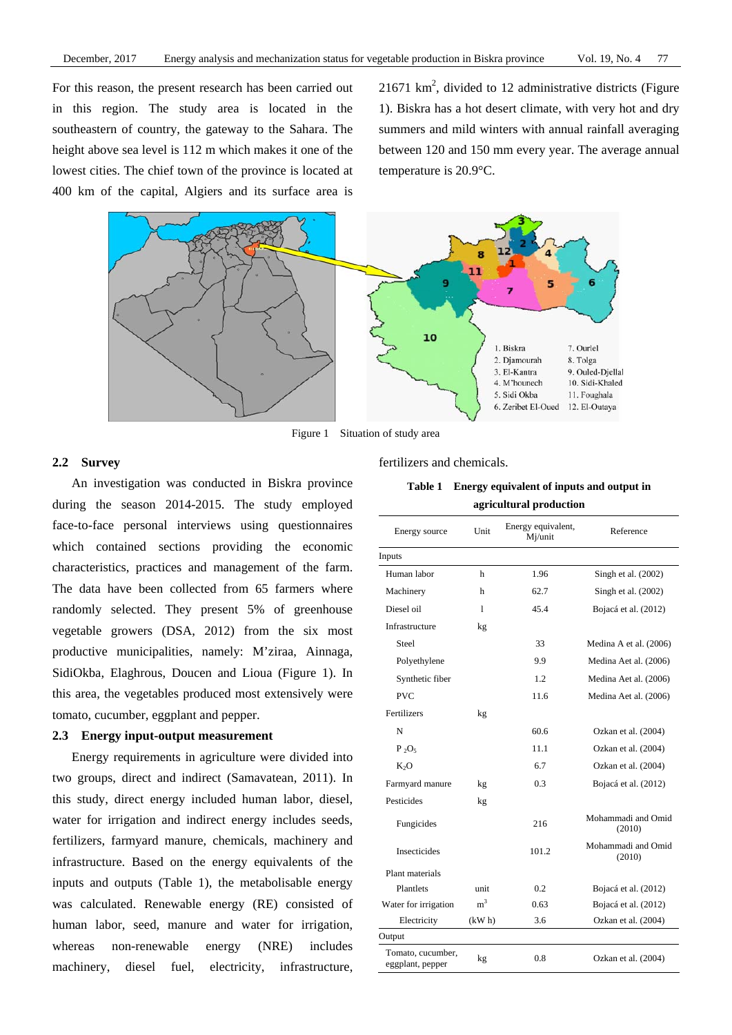For this reason, the present research has been carried out in this region. The study area is located in the southeastern of country, the gateway to the Sahara. The height above sea level is 112 m which makes it one of the lowest cities. The chief town of the province is located at 400 km of the capital, Algiers and its surface area is

 $21671 \text{ km}^2$ , divided to 12 administrative districts (Figure 1). Biskra has a hot desert climate, with very hot and dry summers and mild winters with annual rainfall averaging between 120 and 150 mm every year. The average annual temperature is 20.9°C.



Figure 1 Situation of study area

### **2.2 Survey**

An investigation was conducted in Biskra province during the season 2014-2015. The study employed face-to-face personal interviews using questionnaires which contained sections providing the economic characteristics, practices and management of the farm. The data have been collected from 65 farmers where randomly selected. They present 5% of greenhouse vegetable growers (DSA, 2012) from the six most productive municipalities, namely: M'ziraa, Ainnaga, SidiOkba, Elaghrous, Doucen and Lioua (Figure 1). In this area, the vegetables produced most extensively were tomato, cucumber, eggplant and pepper.

#### **2.3 Energy input-output measurement**

Energy requirements in agriculture were divided into two groups, direct and indirect (Samavatean, 2011). In this study, direct energy included human labor, diesel, water for irrigation and indirect energy includes seeds, fertilizers, farmyard manure, chemicals, machinery and infrastructure. Based on the energy equivalents of the inputs and outputs (Table 1), the metabolisable energy was calculated. Renewable energy (RE) consisted of human labor, seed, manure and water for irrigation, whereas non-renewable energy (NRE) includes machinery, diesel fuel, electricity, infrastructure,

fertilizers and chemicals.

| Energy source                         | Unit           | Energy equivalent,<br>Mj/unit | Reference                    |  |
|---------------------------------------|----------------|-------------------------------|------------------------------|--|
| Inputs                                |                |                               |                              |  |
| Human labor                           | h              | 1.96                          | Singh et al. (2002)          |  |
| Machinery                             | h              | 62.7                          | Singh et al. (2002)          |  |
| Diesel oil                            | 1              | 45.4                          | Bojacá et al. (2012)         |  |
| Infrastructure                        | kg             |                               |                              |  |
| Steel                                 |                | 33                            | Medina A et al. (2006)       |  |
| Polyethylene                          |                | 9.9                           | Medina Aet al. (2006)        |  |
| Synthetic fiber                       |                | 1.2                           | Medina Aet al. (2006)        |  |
| <b>PVC</b>                            |                | 11.6                          | Medina Aet al. (2006)        |  |
| Fertilizers                           | kg             |                               |                              |  |
| N                                     |                | 60.6                          | Ozkan et al. (2004)          |  |
| $P_2O_5$                              |                | 11.1                          | Ozkan et al. (2004)          |  |
| $K_2O$                                |                | 6.7                           | Ozkan et al. (2004)          |  |
| Farmyard manure                       | kg             | 0.3                           | Bojacá et al. (2012)         |  |
| Pesticides                            | kg             |                               |                              |  |
| Fungicides                            |                | 216                           | Mohammadi and Omid<br>(2010) |  |
| Insecticides                          |                | 101.2                         | Mohammadi and Omid<br>(2010) |  |
| Plant materials                       |                |                               |                              |  |
| Plantlets                             | unit           | 0.2                           | Bojacá et al. (2012)         |  |
| Water for irrigation                  | m <sup>3</sup> | 0.63                          | Bojacá et al. (2012)         |  |
| Electricity                           | (kW h)         | 3.6                           | Ozkan et al. (2004)          |  |
| Output                                |                |                               |                              |  |
| Tomato, cucumber,<br>eggplant, pepper | kg             | 0.8                           | Ozkan et al. (2004)          |  |

**Table 1 Energy equivalent of inputs and output in agricultural production**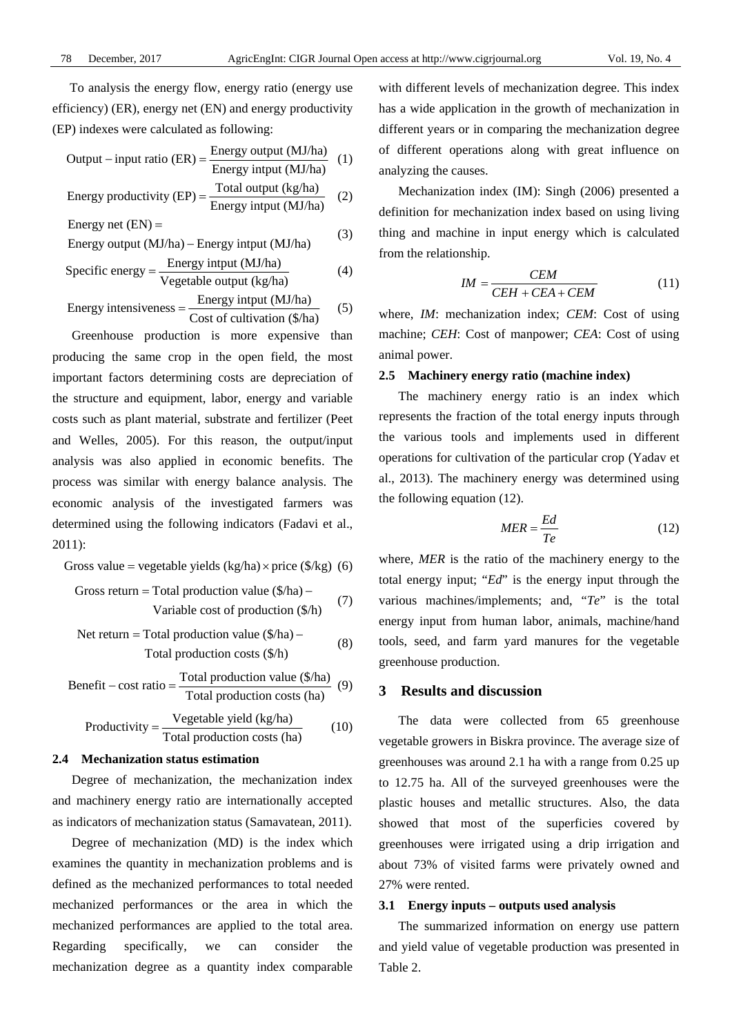To analysis the energy flow, energy ratio (energy use efficiency) (ER), energy net (EN) and energy productivity (EP) indexes were calculated as following:

Output – input ratio (ER) = 
$$
\frac{\text{Energy output (MJ/ha)}}{\text{Energy input (MJ/ha)}} \quad (1)
$$

Energy productivity (EP) = 
$$
\frac{\text{Total output (kg/ha)}}{\text{Energy input (MJ/ha)}} \quad (2)
$$

Energy net 
$$
(EN)
$$
 =

Energy output (MJ/ha) – Energy input (MJ/ha) 
$$
(3)
$$

Specific energy = 
$$
\frac{\text{Energy input (MJ/ha)}}{\text{Vegetable output (kg/ha)}}
$$
 (4)

Energy intensiveness = 
$$
\frac{\text{Energy input (MJ/ha)}}{\text{Cost of cultivation (\$/ha)}} \qquad (5)
$$

Greenhouse production is more expensive than producing the same crop in the open field, the most important factors determining costs are depreciation of the structure and equipment, labor, energy and variable costs such as plant material, substrate and fertilizer (Peet and Welles, 2005). For this reason, the output/input analysis was also applied in economic benefits. The process was similar with energy balance analysis. The economic analysis of the investigated farmers was determined using the following indicators (Fadavi et al., 2011):

Gross value = vegetable yields 
$$
(kg/ha) \times \text{price} (\$/kg) (6)
$$

Gross return = Total production value 
$$
(\frac{4}{ha}) - \frac{1}{\sqrt{7}}
$$
  
Variable cost of production  $(\frac{4}{h})$  (7)

Net return = Total production value 
$$
(\frac{\pi}{h}) - \text{Total production costs } (\frac{\pi}{h})
$$
 (8)

Benefit – cost ratio = 
$$
\frac{\text{Total production value } (\$/ha)}{\text{Total production costs (ha)}}
$$
 (9)

Productivity = 
$$
\frac{\text{Vegetable yield (kg/ha)}}{\text{Total production costs (ha)}}
$$
 (10)

## **2.4 Mechanization status estimation**

Degree of mechanization, the mechanization index and machinery energy ratio are internationally accepted as indicators of mechanization status (Samavatean, 2011).

Degree of mechanization (MD) is the index which examines the quantity in mechanization problems and is defined as the mechanized performances to total needed mechanized performances or the area in which the mechanized performances are applied to the total area. Regarding specifically, we can consider the mechanization degree as a quantity index comparable with different levels of mechanization degree. This index has a wide application in the growth of mechanization in different years or in comparing the mechanization degree of different operations along with great influence on analyzing the causes.

Mechanization index (IM): Singh (2006) presented a definition for mechanization index based on using living thing and machine in input energy which is calculated from the relationship.

$$
IM = \frac{CEM}{CEH + CEA + CEM}
$$
 (11)

where, *IM*: mechanization index; *CEM*: Cost of using machine; *CEH*: Cost of manpower; *CEA*: Cost of using animal power.

### **2.5 Machinery energy ratio (machine index)**

The machinery energy ratio is an index which represents the fraction of the total energy inputs through the various tools and implements used in different operations for cultivation of the particular crop (Yadav et al., 2013). The machinery energy was determined using the following equation (12).

$$
MER = \frac{Ed}{Te}
$$
 (12)

where, *MER* is the ratio of the machinery energy to the total energy input; "*Ed*" is the energy input through the various machines/implements; and, "*Te*" is the total energy input from human labor, animals, machine/hand tools, seed, and farm yard manures for the vegetable greenhouse production.

## **3 Results and discussion**

The data were collected from 65 greenhouse vegetable growers in Biskra province. The average size of greenhouses was around 2.1 ha with a range from 0.25 up to 12.75 ha. All of the surveyed greenhouses were the plastic houses and metallic structures. Also, the data showed that most of the superficies covered by greenhouses were irrigated using a drip irrigation and about 73% of visited farms were privately owned and 27% were rented.

#### **3.1 Energy inputs – outputs used analysis**

The summarized information on energy use pattern and yield value of vegetable production was presented in Table 2.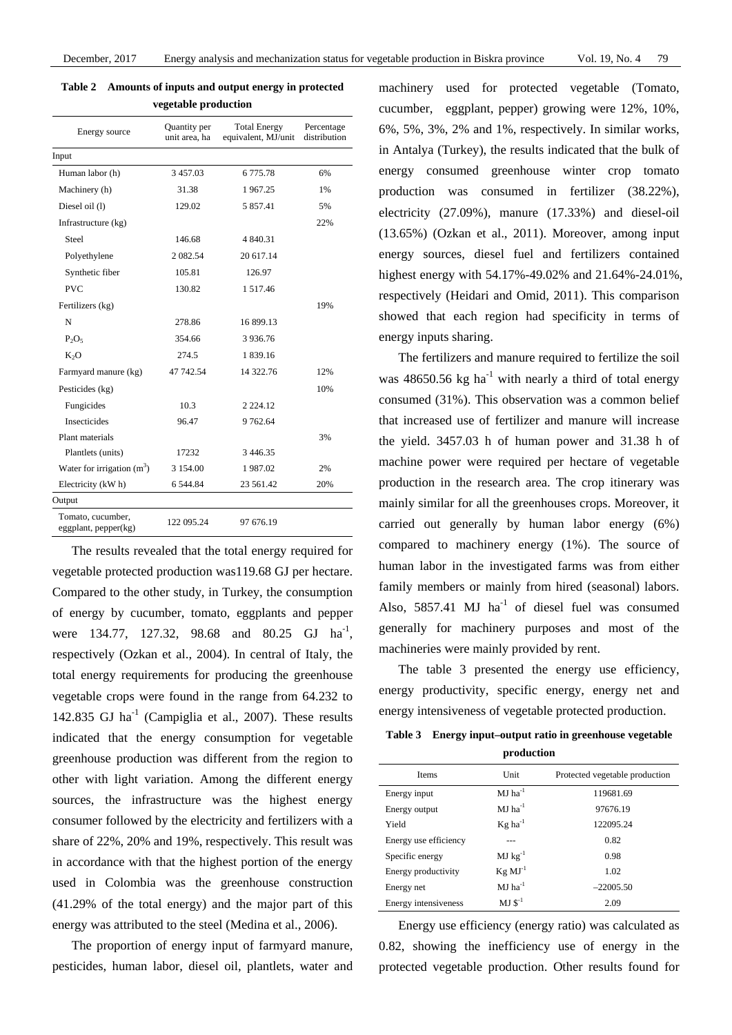| vegetable production                                                                         |             |               |     |  |  |  |  |
|----------------------------------------------------------------------------------------------|-------------|---------------|-----|--|--|--|--|
| Quantity per<br><b>Total Energy</b><br>Energy source<br>unit area, ha<br>equivalent, MJ/unit |             |               |     |  |  |  |  |
| Input                                                                                        |             |               |     |  |  |  |  |
| Human labor (h)                                                                              | 3457.03     | 6 775.78      | 6%  |  |  |  |  |
| Machinery (h)                                                                                | 31.38       | 1967.25       | 1%  |  |  |  |  |
| Diesel oil (1)                                                                               | 129.02      | 5 857.41      | 5%  |  |  |  |  |
| Infrastructure (kg)                                                                          |             |               | 22% |  |  |  |  |
| Steel                                                                                        | 146.68      | 4 840.31      |     |  |  |  |  |
| Polyethylene                                                                                 | 2 0 8 2 5 4 | 20 617.14     |     |  |  |  |  |
| Synthetic fiber                                                                              | 105.81      | 126.97        |     |  |  |  |  |
| <b>PVC</b>                                                                                   | 130.82      | 1 517.46      |     |  |  |  |  |
| Fertilizers (kg)                                                                             |             |               | 19% |  |  |  |  |
| N                                                                                            | 278.86      | 16 899.13     |     |  |  |  |  |
| $P_2O_5$                                                                                     | 354.66      | 3936.76       |     |  |  |  |  |
| K <sub>2</sub> O                                                                             | 274.5       | 1 839.16      |     |  |  |  |  |
| Farmyard manure (kg)                                                                         | 47 742.54   | 14 322.76     | 12% |  |  |  |  |
| Pesticides (kg)                                                                              |             |               | 10% |  |  |  |  |
| Fungicides                                                                                   | 10.3        | 2 2 2 4 .1 2  |     |  |  |  |  |
| <b>Insecticides</b>                                                                          | 96.47       | 9 762.64      |     |  |  |  |  |
| Plant materials                                                                              |             |               | 3%  |  |  |  |  |
| Plantlets (units)                                                                            | 17232       | 3 4 4 6 . 3 5 |     |  |  |  |  |
| Water for irrigation $(m3)$                                                                  | 3 1 5 4 .00 | 1987.02       | 2%  |  |  |  |  |
| Electricity (kW h)                                                                           | 6 544.84    | 23 561.42     | 20% |  |  |  |  |
| Output                                                                                       |             |               |     |  |  |  |  |
| Tomato, cucumber,<br>eggplant, $pepper(kg)$                                                  | 122 095.24  | 97 676.19     |     |  |  |  |  |

**Table 2 Amounts of inputs and output energy in protected** 

The results revealed that the total energy required for vegetable protected production was119.68 GJ per hectare. Compared to the other study, in Turkey, the consumption of energy by cucumber, tomato, eggplants and pepper were 134.77, 127.32, 98.68 and 80.25 GJ ha<sup>-1</sup>, respectively (Ozkan et al., 2004). In central of Italy, the total energy requirements for producing the greenhouse vegetable crops were found in the range from 64.232 to 142.835 GJ  $ha^{-1}$  (Campiglia et al., 2007). These results indicated that the energy consumption for vegetable greenhouse production was different from the region to other with light variation. Among the different energy sources, the infrastructure was the highest energy consumer followed by the electricity and fertilizers with a share of 22%, 20% and 19%, respectively. This result was in accordance with that the highest portion of the energy used in Colombia was the greenhouse construction (41.29% of the total energy) and the major part of this energy was attributed to the steel (Medina et al., 2006).

The proportion of energy input of farmyard manure, pesticides, human labor, diesel oil, plantlets, water and machinery used for protected vegetable (Tomato, cucumber, eggplant, pepper) growing were 12%, 10%, 6%, 5%, 3%, 2% and 1%, respectively. In similar works, in Antalya (Turkey), the results indicated that the bulk of energy consumed greenhouse winter crop tomato production was consumed in fertilizer (38.22%), electricity (27.09%), manure (17.33%) and diesel-oil (13.65%) (Ozkan et al., 2011). Moreover, among input energy sources, diesel fuel and fertilizers contained highest energy with 54.17%-49.02% and 21.64%-24.01%, respectively (Heidari and Omid, 2011). This comparison showed that each region had specificity in terms of energy inputs sharing.

The fertilizers and manure required to fertilize the soil was  $48650.56$  kg ha<sup>-1</sup> with nearly a third of total energy consumed (31%). This observation was a common belief that increased use of fertilizer and manure will increase the yield. 3457.03 h of human power and 31.38 h of machine power were required per hectare of vegetable production in the research area. The crop itinerary was mainly similar for all the greenhouses crops. Moreover, it carried out generally by human labor energy (6%) compared to machinery energy (1%). The source of human labor in the investigated farms was from either family members or mainly from hired (seasonal) labors. Also,  $5857.41$  MJ ha<sup>-1</sup> of diesel fuel was consumed generally for machinery purposes and most of the machineries were mainly provided by rent.

The table 3 presented the energy use efficiency, energy productivity, specific energy, energy net and energy intensiveness of vegetable protected production.

| Table 3 Energy input-output ratio in greenhouse vegetable |
|-----------------------------------------------------------|
| production                                                |

| pi vuuttivii          |                       |                                |  |  |
|-----------------------|-----------------------|--------------------------------|--|--|
| <b>Items</b>          | Unit                  | Protected vegetable production |  |  |
| Energy input          | $MJ$ ha <sup>-1</sup> | 119681.69                      |  |  |
| Energy output         | $MJ$ ha <sup>-1</sup> | 97676.19                       |  |  |
| Yield                 | $Kg$ ha <sup>-1</sup> | 122095.24                      |  |  |
| Energy use efficiency |                       | 0.82                           |  |  |
| Specific energy       | $MJ kg^{-1}$          | 0.98                           |  |  |
| Energy productivity   | $Kg$ $MJ-1$           | 1.02                           |  |  |
| Energy net            | $MJ ha^{-1}$          | $-22005.50$                    |  |  |
| Energy intensiveness  | $MJ S^{-1}$           | 2.09                           |  |  |

Energy use efficiency (energy ratio) was calculated as 0.82, showing the inefficiency use of energy in the protected vegetable production. Other results found for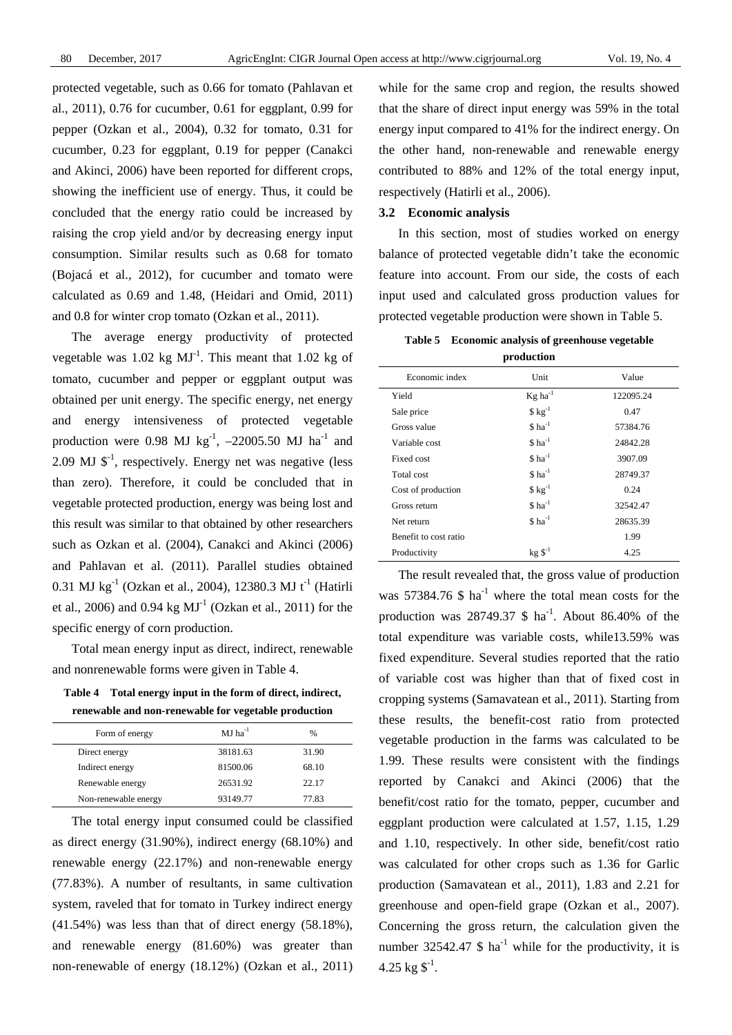protected vegetable, such as 0.66 for tomato (Pahlavan et al., 2011), 0.76 for cucumber, 0.61 for eggplant, 0.99 for pepper (Ozkan et al., 2004), 0.32 for tomato, 0.31 for cucumber, 0.23 for eggplant, 0.19 for pepper (Canakci and Akinci, 2006) have been reported for different crops, showing the inefficient use of energy. Thus, it could be concluded that the energy ratio could be increased by raising the crop yield and/or by decreasing energy input consumption. Similar results such as 0.68 for tomato (Bojacá et al., 2012), for cucumber and tomato were calculated as 0.69 and 1.48, (Heidari and Omid, 2011) and 0.8 for winter crop tomato (Ozkan et al., 2011).

The average energy productivity of protected vegetable was  $1.02 \text{ kg } \text{MJ}^{-1}$ . This meant that  $1.02 \text{ kg of}$ tomato, cucumber and pepper or eggplant output was obtained per unit energy. The specific energy, net energy and energy intensiveness of protected vegetable production were 0.98 MJ kg<sup>-1</sup>,  $-22005.50$  MJ ha<sup>-1</sup> and 2.09 MJ  $\mathcal{S}^{-1}$ , respectively. Energy net was negative (less than zero). Therefore, it could be concluded that in vegetable protected production, energy was being lost and this result was similar to that obtained by other researchers such as Ozkan et al. (2004), Canakci and Akinci (2006) and Pahlavan et al. (2011). Parallel studies obtained 0.31 MJ kg<sup>-1</sup> (Ozkan et al., 2004), 12380.3 MJ t<sup>-1</sup> (Hatirli et al., 2006) and 0.94 kg  $MJ^{-1}$  (Ozkan et al., 2011) for the specific energy of corn production.

Total mean energy input as direct, indirect, renewable and nonrenewable forms were given in Table 4.

**Table 4 Total energy input in the form of direct, indirect, renewable and non-renewable for vegetable production** 

| Form of energy       | $MJ$ ha <sup>-1</sup> | %     |
|----------------------|-----------------------|-------|
| Direct energy        | 38181.63              | 31.90 |
| Indirect energy      | 81500.06              | 68.10 |
| Renewable energy     | 26531.92              | 22.17 |
| Non-renewable energy | 93149.77              | 77.83 |

The total energy input consumed could be classified as direct energy (31.90%), indirect energy (68.10%) and renewable energy (22.17%) and non-renewable energy (77.83%). A number of resultants, in same cultivation system, raveled that for tomato in Turkey indirect energy (41.54%) was less than that of direct energy (58.18%), and renewable energy (81.60%) was greater than non-renewable of energy (18.12%) (Ozkan et al., 2011) while for the same crop and region, the results showed that the share of direct input energy was 59% in the total energy input compared to 41% for the indirect energy. On the other hand, non-renewable and renewable energy contributed to 88% and 12% of the total energy input, respectively (Hatirli et al., 2006).

## **3.2 Economic analysis**

In this section, most of studies worked on energy balance of protected vegetable didn't take the economic feature into account. From our side, the costs of each input used and calculated gross production values for protected vegetable production were shown in Table 5.

**Table 5 Economic analysis of greenhouse vegetable production** 

| Economic index        | Unit                     | Value     |
|-----------------------|--------------------------|-----------|
| Yield                 | $Kg$ ha <sup>-1</sup>    | 122095.24 |
| Sale price            | $$ kg^{-1}$$             | 0.47      |
| Gross value           | $$$ ha <sup>-1</sup>     | 57384.76  |
| Variable cost         | $$$ ha <sup>-1</sup>     | 24842.28  |
| Fixed cost            | $$$ ha <sup>-1</sup>     | 3907.09   |
| Total cost            | $$$ ha <sup>-1</sup>     | 28749.37  |
| Cost of production    | $$ kg^{-1}$$             | 0.24      |
| Gross return          | $$$ ha <sup>-1</sup>     | 32542.47  |
| Net return            | $$$ ha <sup>-1</sup>     | 28635.39  |
| Benefit to cost ratio |                          | 1.99      |
| Productivity          | $\rm kg~\mathbb{S}^{-1}$ | 4.25      |

The result revealed that, the gross value of production was 57384.76 \$  $ha^{-1}$  where the total mean costs for the production was  $28749.37 \text{ m/s}$  ha<sup>-1</sup>. About 86.40% of the total expenditure was variable costs, while13.59% was fixed expenditure. Several studies reported that the ratio of variable cost was higher than that of fixed cost in cropping systems (Samavatean et al., 2011). Starting from these results, the benefit-cost ratio from protected vegetable production in the farms was calculated to be 1.99. These results were consistent with the findings reported by Canakci and Akinci (2006) that the benefit/cost ratio for the tomato, pepper, cucumber and eggplant production were calculated at 1.57, 1.15, 1.29 and 1.10, respectively. In other side, benefit/cost ratio was calculated for other crops such as 1.36 for Garlic production (Samavatean et al., 2011), 1.83 and 2.21 for greenhouse and open-field grape (Ozkan et al., 2007). Concerning the gross return, the calculation given the number 32542.47  $$$  ha<sup>-1</sup> while for the productivity, it is 4.25 kg  $\mathbb{S}^{-1}$ .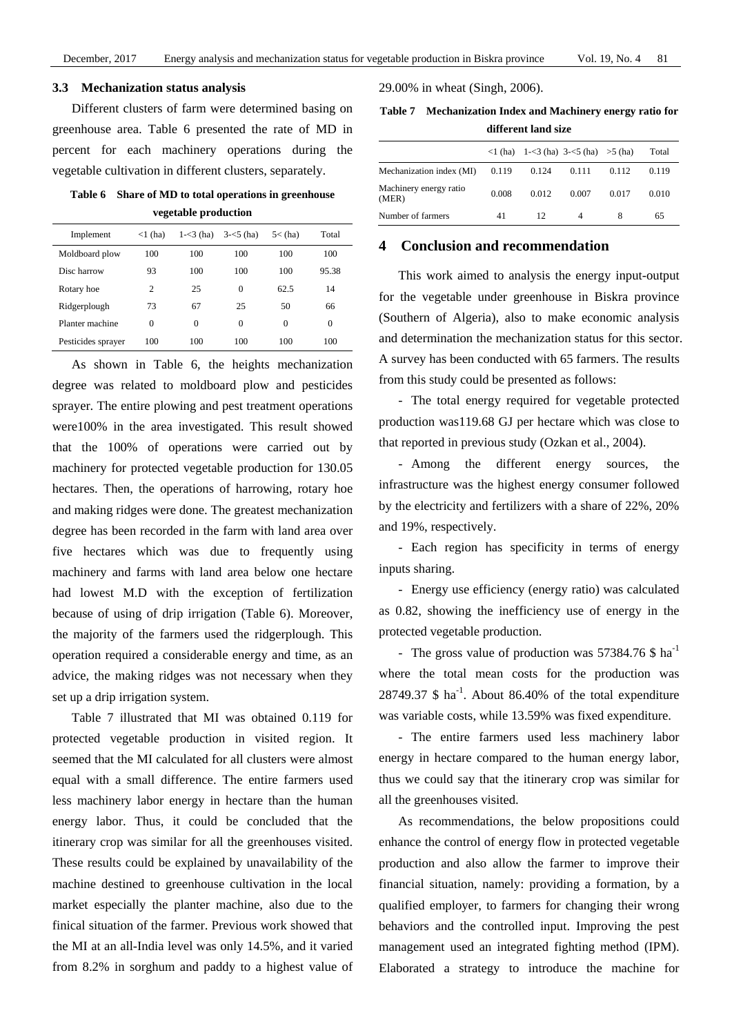#### **3.3 Mechanization status analysis**

Different clusters of farm were determined basing on greenhouse area. Table 6 presented the rate of MD in percent for each machinery operations during the vegetable cultivation in different clusters, separately.

**Table 6 Share of MD to total operations in greenhouse vegetable production** 

| Implement          | $<1$ (ha)      | $1 - 3$ (ha) | $3 - 5$ (ha) | $5<$ (ha)    | Total |
|--------------------|----------------|--------------|--------------|--------------|-------|
| Moldboard plow     | 100            | 100          | 100          | 100          | 100   |
| Disc harrow        | 93             | 100          | 100          | 100          | 95.38 |
| Rotary hoe         | $\overline{c}$ | 25           | 0            | 62.5         | 14    |
| Ridgerplough       | 73             | 67           | 25           | 50           | 66    |
| Planter machine    | $\theta$       | $\Omega$     | 0            | $\mathbf{0}$ | 0     |
| Pesticides sprayer | 100            | 100          | 100          | 100          | 100   |

As shown in Table 6, the heights mechanization degree was related to moldboard plow and pesticides sprayer. The entire plowing and pest treatment operations were100% in the area investigated. This result showed that the 100% of operations were carried out by machinery for protected vegetable production for 130.05 hectares. Then, the operations of harrowing, rotary hoe and making ridges were done. The greatest mechanization degree has been recorded in the farm with land area over five hectares which was due to frequently using machinery and farms with land area below one hectare had lowest M.D with the exception of fertilization because of using of drip irrigation (Table 6). Moreover, the majority of the farmers used the ridgerplough. This operation required a considerable energy and time, as an advice, the making ridges was not necessary when they set up a drip irrigation system.

Table 7 illustrated that MI was obtained 0.119 for protected vegetable production in visited region. It seemed that the MI calculated for all clusters were almost equal with a small difference. The entire farmers used less machinery labor energy in hectare than the human energy labor. Thus, it could be concluded that the itinerary crop was similar for all the greenhouses visited. These results could be explained by unavailability of the machine destined to greenhouse cultivation in the local market especially the planter machine, also due to the finical situation of the farmer. Previous work showed that the MI at an all-India level was only 14.5%, and it varied from 8.2% in sorghum and paddy to a highest value of 29.00% in wheat (Singh, 2006).

**Table 7 Mechanization Index and Machinery energy ratio for different land size** 

|                                 |       |       | $\langle 1 \rangle$ (ha) $1-\langle 3 \rangle$ (ha) $3-\langle 5 \rangle$ (ha) $>5 \rangle$ (ha) |       | Total |
|---------------------------------|-------|-------|--------------------------------------------------------------------------------------------------|-------|-------|
| Mechanization index (MI)        | 0.119 | 0.124 | 0.111                                                                                            | 0.112 | 0.119 |
| Machinery energy ratio<br>(MER) | 0.008 | 0.012 | 0.007                                                                                            | 0.017 | 0.010 |
| Number of farmers               | 41    | 12    |                                                                                                  | 8     | 65    |

## **4 Conclusion and recommendation**

This work aimed to analysis the energy input-output for the vegetable under greenhouse in Biskra province (Southern of Algeria), also to make economic analysis and determination the mechanization status for this sector. A survey has been conducted with 65 farmers. The results from this study could be presented as follows:

- The total energy required for vegetable protected production was119.68 GJ per hectare which was close to that reported in previous study (Ozkan et al., 2004).

- Among the different energy sources, the infrastructure was the highest energy consumer followed by the electricity and fertilizers with a share of 22%, 20% and 19%, respectively.

- Each region has specificity in terms of energy inputs sharing.

- Energy use efficiency (energy ratio) was calculated as 0.82, showing the inefficiency use of energy in the protected vegetable production.

- The gross value of production was  $57384.76$  \$ ha<sup>-1</sup> where the total mean costs for the production was  $28749.37 \text{ }\$\text{ha}^{-1}\text{. About }86.40\% \text{ of the total expenditure}$ was variable costs, while 13.59% was fixed expenditure.

- The entire farmers used less machinery labor energy in hectare compared to the human energy labor, thus we could say that the itinerary crop was similar for all the greenhouses visited.

As recommendations, the below propositions could enhance the control of energy flow in protected vegetable production and also allow the farmer to improve their financial situation, namely: providing a formation, by a qualified employer, to farmers for changing their wrong behaviors and the controlled input. Improving the pest management used an integrated fighting method (IPM). Elaborated a strategy to introduce the machine for